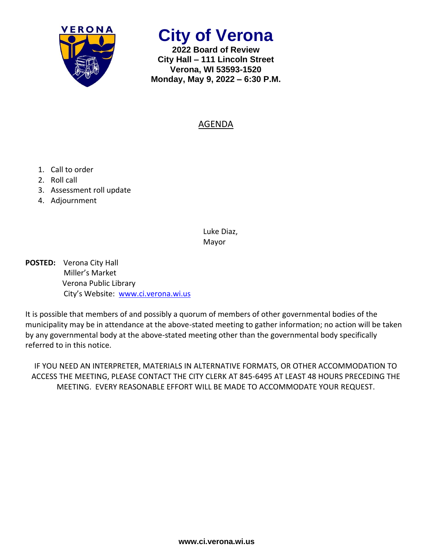

**City of Verona**

**2022 Board of Review City Hall – 111 Lincoln Street Verona, WI 53593-1520 Monday, May 9, 2022 – 6:30 P.M.**

## AGENDA

- 1. Call to order
- 2. Roll call
- 3. Assessment roll update
- 4. Adjournment

Luke Diaz, Mayor

**POSTED:** Verona City Hall Miller's Market Verona Public Library City's Website: [www.ci.verona.wi.us](http://www.ci.verona.wi.us/)

It is possible that members of and possibly a quorum of members of other governmental bodies of the municipality may be in attendance at the above-stated meeting to gather information; no action will be taken by any governmental body at the above-stated meeting other than the governmental body specifically referred to in this notice.

IF YOU NEED AN INTERPRETER, MATERIALS IN ALTERNATIVE FORMATS, OR OTHER ACCOMMODATION TO ACCESS THE MEETING, PLEASE CONTACT THE CITY CLERK AT 845-6495 AT LEAST 48 HOURS PRECEDING THE MEETING. EVERY REASONABLE EFFORT WILL BE MADE TO ACCOMMODATE YOUR REQUEST.